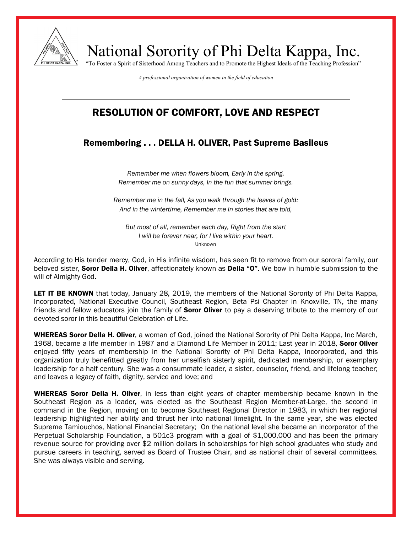

National Sorority of Phi Delta Kappa, Inc. "To Foster a Spirit of Sisterhood Among Teachers and to Promote the Highest Ideals of the Teaching Profession"

*A professional organization of women in the field of education*

## RESOLUTION OF COMFORT, LOVE AND RESPECT

## Remembering . . . DELLA H. OLIVER, Past Supreme Basileus

*Remember me when flowers bloom, Early in the spring. Remember me on sunny days, In the fun that summer brings.*

*Remember me in the fall, As you walk through the leaves of gold: And in the wintertime, Remember me in stories that are told,*

*But most of all, remember each day, Right from the start I will be forever near, for I live within your heart.* Unknown

According to His tender mercy, God, in His infinite wisdom, has seen fit to remove from our sororal family, our beloved sister, **Soror Della H. Oliver**, affectionately known as **Della "O"**. We bow in humble submission to the will of Almighty God.

LET IT BE KNOWN that today, January 28, 2019, the members of the National Sorority of Phi Delta Kappa, Incorporated, National Executive Council, Southeast Region, Beta Psi Chapter in Knoxville, TN, the many friends and fellow educators join the family of **Soror Oliver** to pay a deserving tribute to the memory of our devoted soror in this beautiful Celebration of Life.

WHEREAS Soror Della H. Oliver, a woman of God, joined the National Sorority of Phi Delta Kappa, Inc March, 1968, became a life member in 1987 and a Diamond Life Member in 2011; Last year in 2018, Soror Oliver enjoyed fifty years of membership in the National Sorority of Phi Delta Kappa, Incorporated, and this organization truly benefitted greatly from her unselfish sisterly spirit, dedicated membership, or exemplary leadership for a half century. She was a consummate leader, a sister, counselor, friend, and lifelong teacher; and leaves a legacy of faith, dignity, service and love; and

WHEREAS Soror Della H. Oliver, in less than eight years of chapter membership became known in the Southeast Region as a leader, was elected as the Southeast Region Member-at-Large, the second in command in the Region, moving on to become Southeast Regional Director in 1983, in which her regional leadership highlighted her ability and thrust her into national limelight. In the same year, she was elected Supreme Tamiouchos, National Financial Secretary; On the national level she became an incorporator of the Perpetual Scholarship Foundation, a 501c3 program with a goal of \$1,000,000 and has been the primary revenue source for providing over \$2 million dollars in scholarships for high school graduates who study and pursue careers in teaching, served as Board of Trustee Chair, and as national chair of several committees. She was always visible and serving.